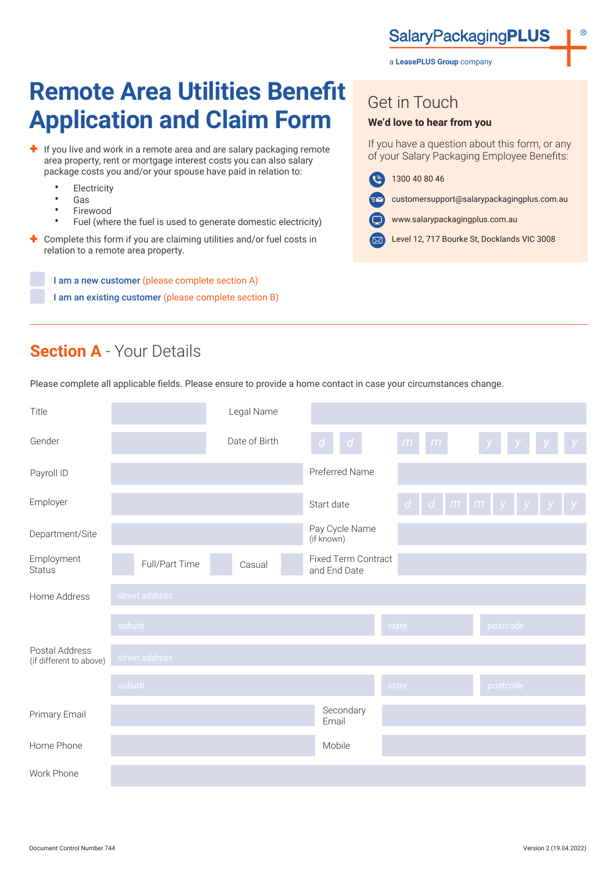a **LeasePLUS Group** company

# **Remote Area Utilities Benefit Application and Claim Form**

- $\bigstar$  If you live and work in a remote area and are salary packaging remote area property, rent or mortgage interest costs you can also salary package costs you and/or your spouse have paid in relation to:
	- Electricity
	- Gas
	- **Firewood**
	- Fuel (where the fuel is used to generate domestic electricity)
- Complete this form if you are claiming utilities and/or fuel costs in relation to a remote area property.

I am a new customer (please complete section A) I am an existing customer (please complete section B) Get in Touch

#### **We'd love to hear from you**

If you have a question about this form, or any of your Salary Packaging Employee Benefits:

- $\left( \mathbf{e} \right)$ 1300 40 80 46
	- customersupport@salarypackagingplus.com.au
- www.salarypackagingplus.com.au
- Level 12, 717 Bourke St, Docklands VIC 3008

# **Section A** - Your Details

Please complete all applicable fields. Please ensure to provide a home contact in case your circumstances change.

| Title                                     |                | Legal Name    |                                            |        |                                                      |   |
|-------------------------------------------|----------------|---------------|--------------------------------------------|--------|------------------------------------------------------|---|
| Gender                                    |                | Date of Birth | d<br>d                                     | m<br>m |                                                      | y |
| Payroll ID                                |                |               | Preferred Name                             |        |                                                      |   |
| Employer                                  |                |               | Start date                                 |        | $d \mid d \mid m \mid m \mid y \mid y \mid y \mid y$ |   |
| Department/Site                           |                |               | Pay Cycle Name<br>(if known)               |        |                                                      |   |
| Employment<br><b>Status</b>               | Full/Part Time | Casual        | <b>Fixed Term Contract</b><br>and End Date |        |                                                      |   |
| Home Address                              | street address |               |                                            |        |                                                      |   |
|                                           | suburb         |               |                                            | state  | postcode                                             |   |
| Postal Address<br>(if different to above) | street address |               |                                            |        |                                                      |   |
|                                           | suburb         |               |                                            | state  | postcode                                             |   |
| Primary Email                             |                |               | Secondary<br>Email                         |        |                                                      |   |
| Home Phone                                |                |               | Mobile                                     |        |                                                      |   |
| Work Phone                                |                |               |                                            |        |                                                      |   |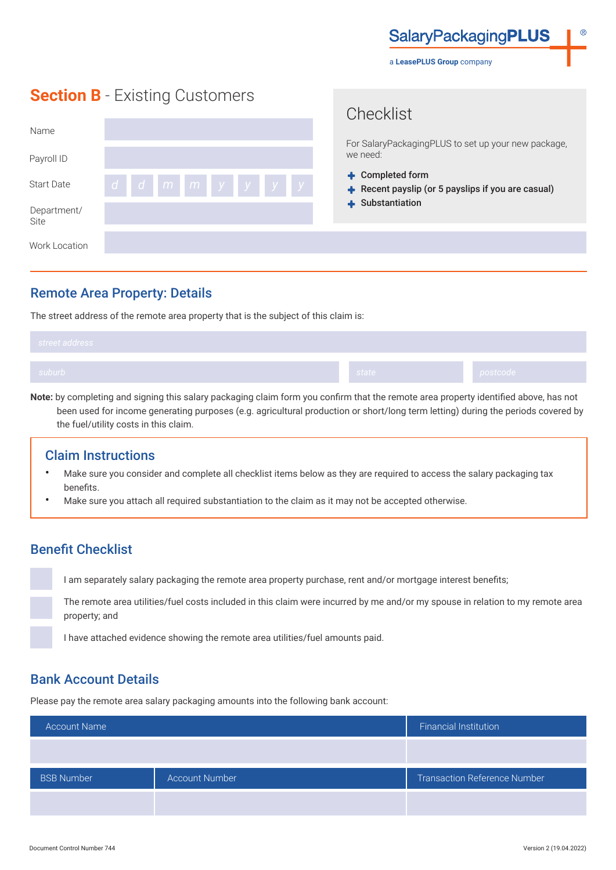**SalaryPackagingPLUS** 

a **LeasePLUS Group** company

Chooklict

## **Section B** - Existing Customers

| Name                |                | <u>UITUUINIUL</u><br>For SalaryPackagingPLUS to set up your new package, |
|---------------------|----------------|--------------------------------------------------------------------------|
| Payroll ID          |                | we need:                                                                 |
| <b>Start Date</b>   | dd m m y y y y | + Completed form<br>Recent payslip (or 5 payslips if you are casual)     |
| Department/<br>Site |                | $\div$ Substantiation                                                    |
| Work Location       |                |                                                                          |

### Remote Area Property: Details

The street address of the remote area property that is the subject of this claim is:

| suburb<br>state / | postcode |
|-------------------|----------|

**Note:** by completing and signing this salary packaging claim form you confirm that the remote area property identified above, has not been used for income generating purposes (e.g. agricultural production or short/long term letting) during the periods covered by the fuel/utility costs in this claim.

#### Claim Instructions

- Make sure you consider and complete all checklist items below as they are required to access the salary packaging tax benefits.
- Make sure you attach all required substantiation to the claim as it may not be accepted otherwise.

## Benefit Checklist

I am separately salary packaging the remote area property purchase, rent and/or mortgage interest benefits;

The remote area utilities/fuel costs included in this claim were incurred by me and/or my spouse in relation to my remote area property; and

I have attached evidence showing the remote area utilities/fuel amounts paid.

### Bank Account Details

Please pay the remote area salary packaging amounts into the following bank account:

| <b>Account Name</b> |                       | <b>Financial Institution</b>        |
|---------------------|-----------------------|-------------------------------------|
|                     |                       |                                     |
| <b>BSB Number</b>   | <b>Account Number</b> | <b>Transaction Reference Number</b> |
|                     |                       |                                     |